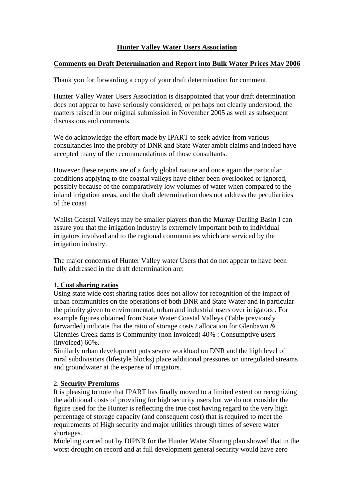# **Hunter Valley Water Users Association**

## **Comments on Draft Determination and Report into Bulk Water Prices May 2006**

Thank you for forwarding a copy of your draft determination for comment.

Hunter Valley Water Users Association is disappointed that your draft determination does not appear to have seriously considered, or perhaps not clearly understood, the matters raised in our original submission in November 2005 as well as subsequent discussions and comments.

We do acknowledge the effort made by IPART to seek advice from various consultancies into the probity of DNR and State Water ambit claims and indeed have accepted many of the recommendations of those consultants.

However these reports are of a fairly global nature and once again the particular conditions applying to the coastal valleys have either been overlooked or ignored, possibly because of the comparatively low volumes of water when compared to the inland irrigation areas, and the draft determination does not address the peculiarities of the coast

Whilst Coastal Valleys may be smaller players than the Murray Darling Basin I can assure you that the irrigation industry is extremely important both to individual irrigators involved and to the regional communities which are serviced by the irrigation industry.

The major concerns of Hunter Valley water Users that do not appear to have been fully addressed in the draft determination are:

## 1**. Cost sharing ratios**

Using state wide cost sharing ratios does not allow for recognition of the impact of urban communities on the operations of both DNR and State Water and in particular the priority given to environmental, urban and industrial users over irrigators . For example figures obtained from State Water Coastal Valleys (Table previously forwarded) indicate that the ratio of storage costs / allocation for Glenbawn & Glennies Creek dams is Community (non invoiced) 40% : Consumptive users (invoiced) 60%.

Similarly urban development puts severe workload on DNR and the high level of rural subdivisions (lifestyle blocks) place additional pressures on unregulated streams and groundwater at the expense of irrigators.

## 2. **Security Premiums**

It is pleasing to note that IPART has finally moved to a limited extent on recognizing the additional costs of providing for high security users but we do not consider the figure used for the Hunter is reflecting the true cost having regard to the very high percentage of storage capacity (and consequent cost) that is required to meet the requirements of High security and major utilities through times of severe water shortages.

Modeling carried out by DIPNR for the Hunter Water Sharing plan showed that in the worst drought on record and at full development general security would have zero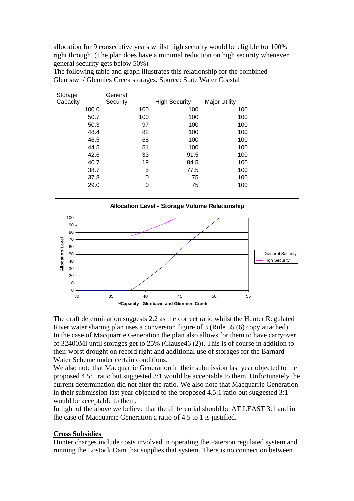allocation for 9 consecutive years whilst high security would be eligible for 100% right through. (The plan does have a minimal reduction on high security whenever general security gets below 50%)

The following table and graph illustrates this relationship for the combined Glenbawn/ Glennies Creek storages. Source: State Water Coastal

| Storage  |       | General  |     |                      |                      |
|----------|-------|----------|-----|----------------------|----------------------|
| Capacity |       | Security |     | <b>High Security</b> | <b>Major Utility</b> |
|          | 100.0 |          | 100 | 100                  | 100                  |
|          | 50.7  |          | 100 | 100                  | 100                  |
|          | 50.3  |          | 97  | 100                  | 100                  |
|          | 48.4  |          | 82  | 100                  | 100                  |
|          | 46.5  |          | 68  | 100                  | 100                  |
|          | 44.5  |          | 51  | 100                  | 100                  |
|          | 42.6  |          | 33  | 91.5                 | 100                  |
|          | 40.7  |          | 19  | 84.5                 | 100                  |
|          | 38.7  |          | 5   | 77.5                 | 100                  |
|          | 37.8  |          | 0   | 75                   | 100                  |
|          | 29.0  |          | 0   | 75                   | 100                  |
|          |       |          |     |                      |                      |



The draft determination suggests 2.2 as the correct ratio whilst the Hunter Regulated River water sharing plan uses a conversion figure of 3 (Rule 55 (6) copy attached). In the case of Macquarrie Generation the plan also allows for them to have carryover of 32400Ml until storages get to 25% (Clause46 (2)). This is of course in addition to their worst drought on record right and additional use of storages for the Barnard Water Scheme under certain conditions.

We also note that Macquarrie Generation in their submission last year objected to the proposed 4.5:1 ratio but suggested 3:1 would be acceptable to them. Unfortunately the current determination did not alter the ratio. We also note that Macquarrie Generation in their submission last year objected to the proposed 4.5:1 ratio but suggested 3:1 would be acceptable to them.

In light of the above we believe that the differential should be AT LEAST 3:1 and in the case of Macquarrie Generation a ratio of 4.5 to 1 is justified.

## **Cross Subsidies**

Hunter charges include costs involved in operating the Paterson regulated system and running the Lostock Dam that supplies that system. There is no connection between